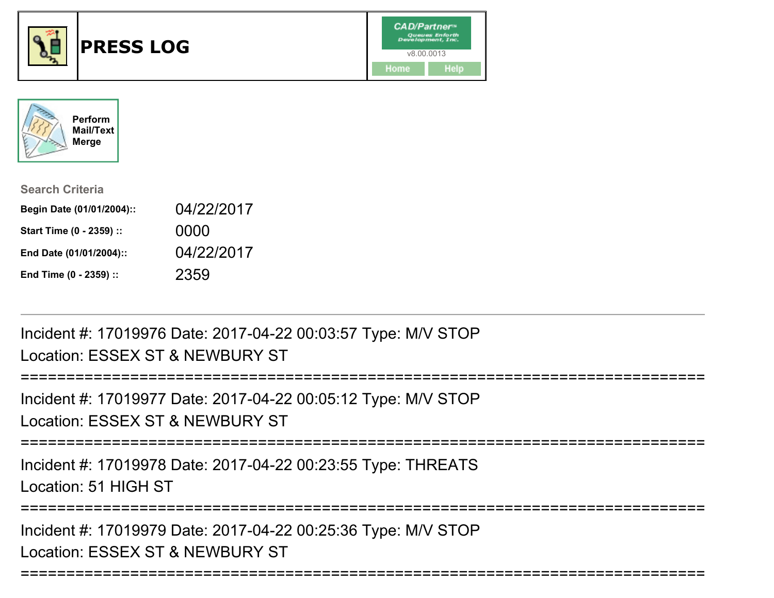



| <b>Search Criteria</b>    |            |
|---------------------------|------------|
| Begin Date (01/01/2004):: | 04/22/2017 |
| Start Time (0 - 2359) ::  | 0000       |
| End Date (01/01/2004)::   | 04/22/2017 |
| End Time (0 - 2359) ::    | 2359       |

Incident #: 17019976 Date: 2017-04-22 00:03:57 Type: M/V STOPLocation: ESSEX ST & NEWBURY ST

```
=========================
Incident #: 17019977 Date: 2017-04-22 00:05:12 Type: M/V STOPLocation: ESSEX ST & NEWBURY ST===========================================================================Incident #: 17019978 Date: 2017-04-22 00:23:55 Type: THREATSLocation: 51 HIGH ST===========================================================================Incident #: 17019979 Date: 2017-04-22 00:25:36 Type: M/V STOPLocation: ESSEX ST & NEWBURY ST
```
===========================================================================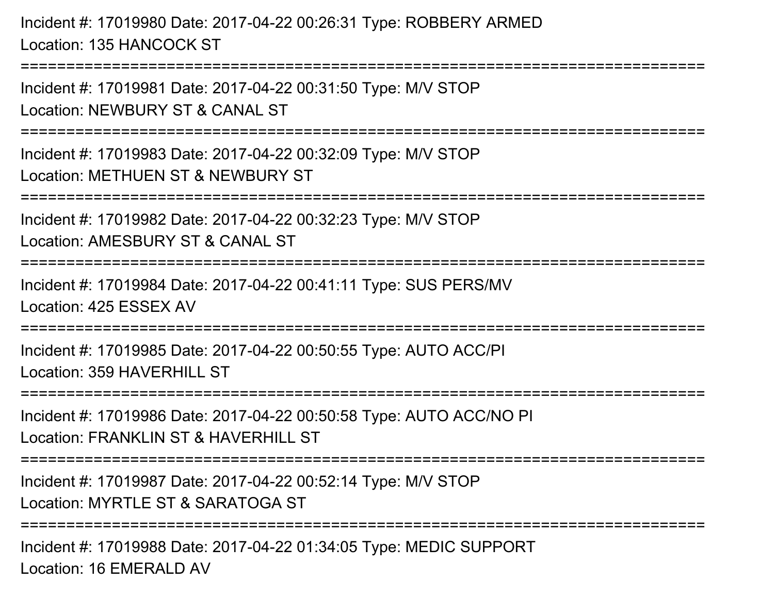Incident #: 17019980 Date: 2017-04-22 00:26:31 Type: ROBBERY ARMEDLocation: 135 HANCOCK ST

Incident #: 17019981 Date: 2017-04-22 00:31:50 Type: M/V STOPLocation: NEWBURY ST & CANAL ST

===========================================================================

===========================================================================

Incident #: 17019983 Date: 2017-04-22 00:32:09 Type: M/V STOPLocation: METHUEN ST & NEWBURY ST

===========================================================================

Incident #: 17019982 Date: 2017-04-22 00:32:23 Type: M/V STOP

Location: AMESBURY ST & CANAL ST

```
===========================================================================
```
Incident #: 17019984 Date: 2017-04-22 00:41:11 Type: SUS PERS/MVLocation: 425 ESSEX AV

=========================

Incident #: 17019985 Date: 2017-04-22 00:50:55 Type: AUTO ACC/PILocation: 359 HAVERHILL ST

```
===========================================================================
```
Incident #: 17019986 Date: 2017-04-22 00:50:58 Type: AUTO ACC/NO PI

Location: FRANKLIN ST & HAVERHILL ST

===========================================================================

Incident #: 17019987 Date: 2017-04-22 00:52:14 Type: M/V STOP

Location: MYRTLE ST & SARATOGA ST

===========================================================================

Incident #: 17019988 Date: 2017-04-22 01:34:05 Type: MEDIC SUPPORTLocation: 16 EMERALD AV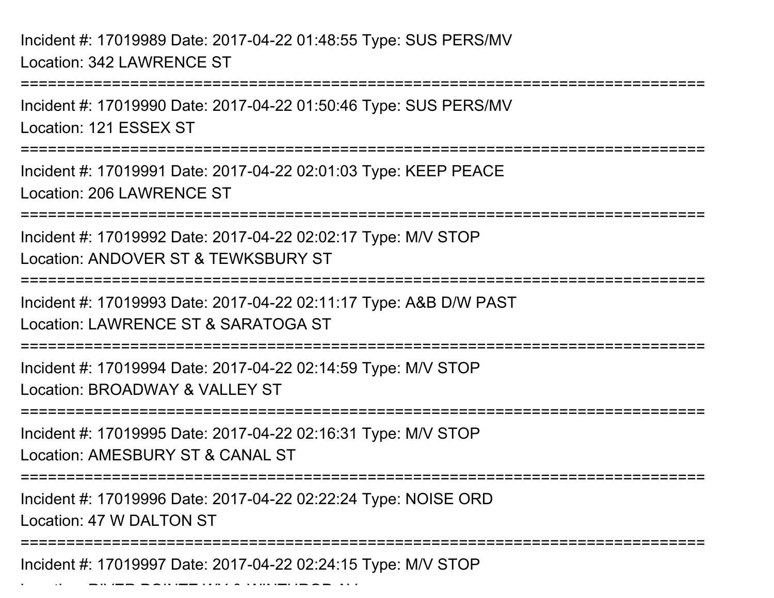Incident #: 17019989 Date: 2017-04-22 01:48:55 Type: SUS PERS/MVLocation: 342 LAWRENCE ST

Location: RIVER POINTE WY & WINTHROP AV

===========================================================================Incident #: 17019990 Date: 2017-04-22 01:50:46 Type: SUS PERS/MVLocation: 121 ESSEX ST================== Incident #: 17019991 Date: 2017-04-22 02:01:03 Type: KEEP PEACELocation: 206 LAWRENCE ST===========================================================================Incident #: 17019992 Date: 2017-04-22 02:02:17 Type: M/V STOPLocation: ANDOVER ST & TEWKSBURY ST===========================================================================Incident #: 17019993 Date: 2017-04-22 02:11:17 Type: A&B D/W PASTLocation: LAWRENCE ST & SARATOGA ST===========================================================================Incident #: 17019994 Date: 2017-04-22 02:14:59 Type: M/V STOPLocation: BROADWAY & VALLEY ST===========================================================================Incident #: 17019995 Date: 2017-04-22 02:16:31 Type: M/V STOPLocation: AMESBURY ST & CANAL ST ===========================================================================Incident #: 17019996 Date: 2017-04-22 02:22:24 Type: NOISE ORDLocation: 47 W DALTON ST===========================================================================Incident #: 17019997 Date: 2017-04-22 02:24:15 Type: M/V STOP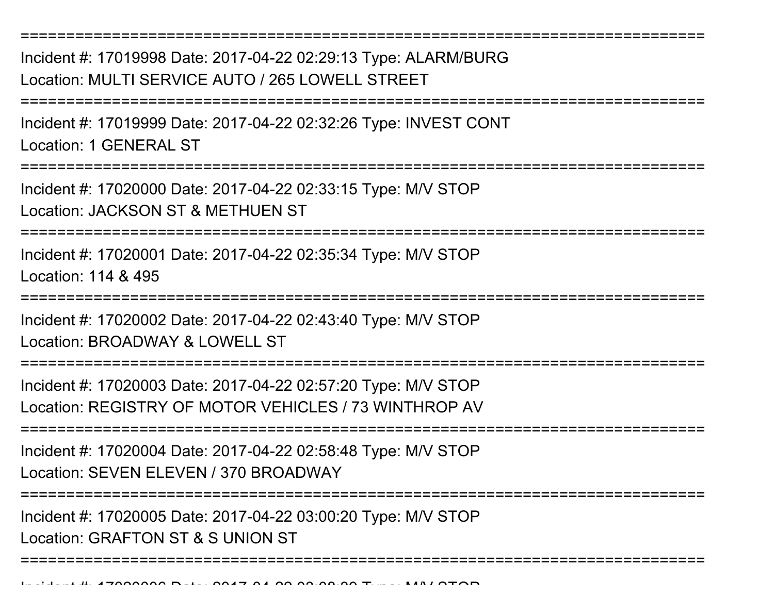Incident #: 17019998 Date: 2017-04-22 02:29:13 Type: ALARM/BURGLocation: MULTI SERVICE AUTO / 265 LOWELL STREET

===========================================================================

===========================================================================

Incident #: 17019999 Date: 2017-04-22 02:32:26 Type: INVEST CONTLocation: 1 GENERAL ST

=================

Incident #: 17020000 Date: 2017-04-22 02:33:15 Type: M/V STOPLocation: JACKSON ST & METHUEN ST

===========================================================================

Incident #: 17020001 Date: 2017-04-22 02:35:34 Type: M/V STOP

Location: 114 & 495

===========================================================================

Incident #: 17020002 Date: 2017-04-22 02:43:40 Type: M/V STOP

Location: BROADWAY & LOWELL ST

===========================================================================

Incident #: 17020003 Date: 2017-04-22 02:57:20 Type: M/V STOPLocation: REGISTRY OF MOTOR VEHICLES / 73 WINTHROP AV

===========================================================================

Incident #: 17020004 Date: 2017-04-22 02:58:48 Type: M/V STOPLocation: SEVEN ELEVEN / 370 BROADWAY

===========================================================================

===========================================================================

Incident #: 17020005 Date: 2017-04-22 03:00:20 Type: M/V STOP

Location: GRAFTON ST & S UNION ST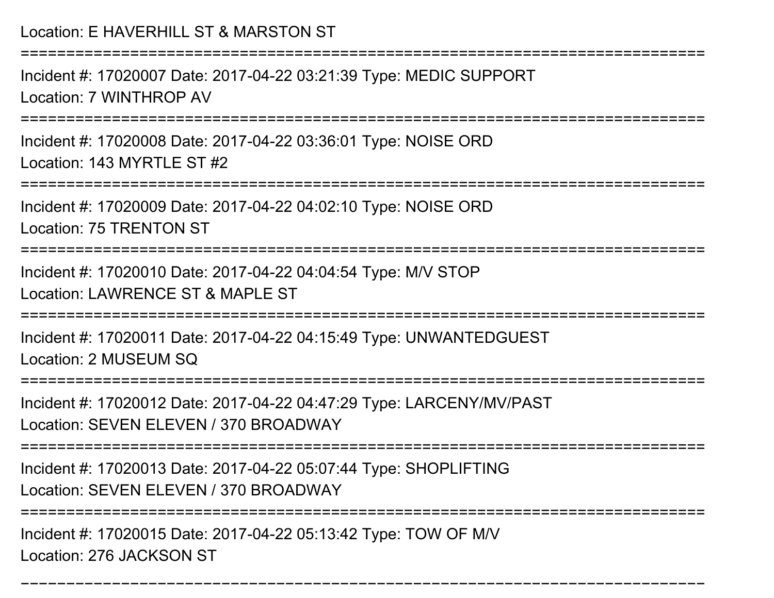Incident #: 17020007 Date: 2017-04-22 03:21:39 Type: MEDIC SUPPORTLocation: 7 WINTHROP AV

===========================================================================

Incident #: 17020008 Date: 2017-04-22 03:36:01 Type: NOISE ORDLocation: 143 MYRTLE ST #2

===========================================================================

Incident #: 17020009 Date: 2017-04-22 04:02:10 Type: NOISE ORDLocation: 75 TRENTON ST

===========================================================================

Incident #: 17020010 Date: 2017-04-22 04:04:54 Type: M/V STOPLocation: LAWRENCE ST & MAPLE ST

===========================================================================

Incident #: 17020011 Date: 2017-04-22 04:15:49 Type: UNWANTEDGUESTLocation: 2 MUSEUM SQ

========================

Incident #: 17020012 Date: 2017-04-22 04:47:29 Type: LARCENY/MV/PAST

Location: SEVEN ELEVEN / 370 BROADWAY

===========================================================================

Incident #: 17020013 Date: 2017-04-22 05:07:44 Type: SHOPLIFTING

Location: SEVEN ELEVEN / 370 BROADWAY

======================

===========================================================================

Incident #: 17020015 Date: 2017-04-22 05:13:42 Type: TOW OF M/VLocation: 276 JACKSON ST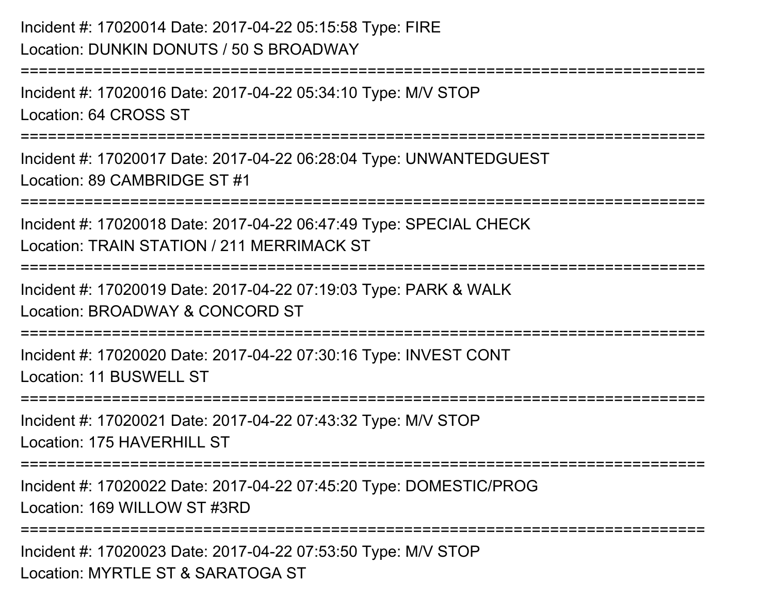# Incident #: 17020014 Date: 2017-04-22 05:15:58 Type: FIRELocation: DUNKIN DONUTS / 50 S BROADWAY

Incident #: 17020016 Date: 2017-04-22 05:34:10 Type: M/V STOPLocation: 64 CROSS ST

===========================================================================

===========================================================================

Incident #: 17020017 Date: 2017-04-22 06:28:04 Type: UNWANTEDGUESTLocation: 89 CAMBRIDGE ST #1

===========================================================================

Incident #: 17020018 Date: 2017-04-22 06:47:49 Type: SPECIAL CHECKLocation: TRAIN STATION / 211 MERRIMACK ST

===========================================================================

Incident #: 17020019 Date: 2017-04-22 07:19:03 Type: PARK & WALKLocation: BROADWAY & CONCORD ST

===========================================================================

Incident #: 17020020 Date: 2017-04-22 07:30:16 Type: INVEST CONTLocation: 11 BUSWELL ST

===========================================================================

Incident #: 17020021 Date: 2017-04-22 07:43:32 Type: M/V STOP

Location: 175 HAVERHILL ST

=======================

Incident #: 17020022 Date: 2017-04-22 07:45:20 Type: DOMESTIC/PROGLocation: 169 WILLOW ST #3RD

===========================================================================

Incident #: 17020023 Date: 2017-04-22 07:53:50 Type: M/V STOPLocation: MYRTLE ST & SARATOGA ST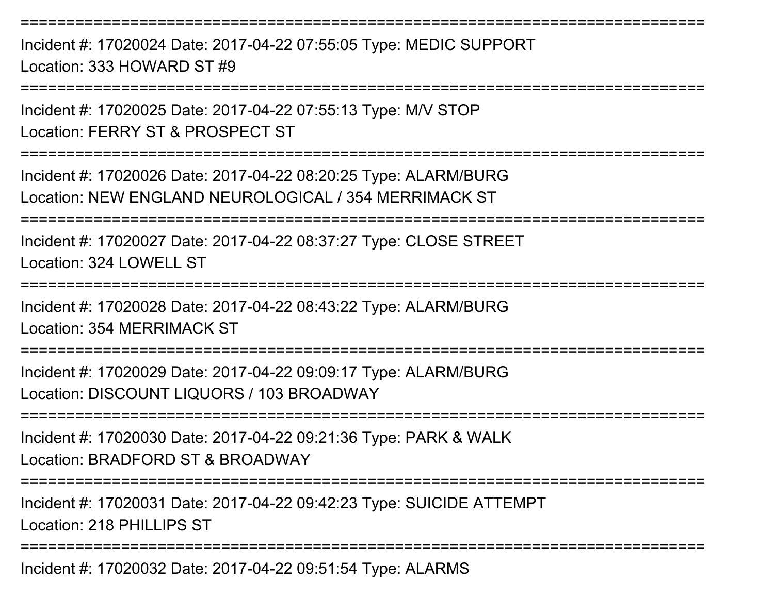Incident #: 17020024 Date: 2017-04-22 07:55:05 Type: MEDIC SUPPORTLocation: 333 HOWARD ST #9

===========================================================================

===========================================================================

Incident #: 17020025 Date: 2017-04-22 07:55:13 Type: M/V STOPLocation: FERRY ST & PROSPECT ST

===========================================================================

Incident #: 17020026 Date: 2017-04-22 08:20:25 Type: ALARM/BURGLocation: NEW ENGLAND NEUROLOGICAL / 354 MERRIMACK ST

===========================================================================

Incident #: 17020027 Date: 2017-04-22 08:37:27 Type: CLOSE STREETLocation: 324 LOWELL ST

===========================================================================

Incident #: 17020028 Date: 2017-04-22 08:43:22 Type: ALARM/BURGLocation: 354 MERRIMACK ST

===========================================================================

Incident #: 17020029 Date: 2017-04-22 09:09:17 Type: ALARM/BURGLocation: DISCOUNT LIQUORS / 103 BROADWAY

**=============** 

Incident #: 17020030 Date: 2017-04-22 09:21:36 Type: PARK & WALKLocation: BRADFORD ST & BROADWAY

**===============** 

Incident #: 17020031 Date: 2017-04-22 09:42:23 Type: SUICIDE ATTEMPTLocation: 218 PHILLIPS ST

===========================================================================

Incident #: 17020032 Date: 2017-04-22 09:51:54 Type: ALARMS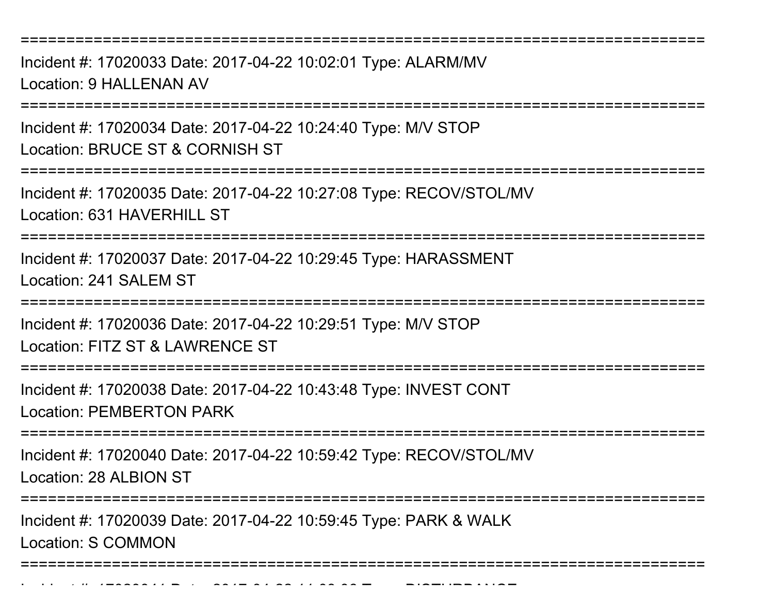Incident #: 17020033 Date: 2017-04-22 10:02:01 Type: ALARM/MVLocation: 9 HALLENAN AV

===========================================================================

Incident #: 17020034 Date: 2017-04-22 10:24:40 Type: M/V STOPLocation: BRUCE ST & CORNISH ST

===========================================================================

Incident #: 17020035 Date: 2017-04-22 10:27:08 Type: RECOV/STOL/MVLocation: 631 HAVERHILL ST

===========================================================================

Incident #: 17020037 Date: 2017-04-22 10:29:45 Type: HARASSMENTLocation: 241 SALEM ST

===========================================================================

Incident #: 17020036 Date: 2017-04-22 10:29:51 Type: M/V STOPLocation: FITZ ST & LAWRENCE ST

===========================================================================

Incident #: 17020038 Date: 2017-04-22 10:43:48 Type: INVEST CONTLocation: PEMBERTON PARK

**====================** 

Incident #: 17020040 Date: 2017-04-22 10:59:42 Type: RECOV/STOL/MVLocation: 28 ALBION ST

=========================

Incident #: 17020039 Date: 2017-04-22 10:59:45 Type: PARK & WALK

Location: S COMMON

Incident #: 1702041 Date: 2017

===========================================================================

<sup>04</sup> 22 11:03:06 Type: DISTURBANCE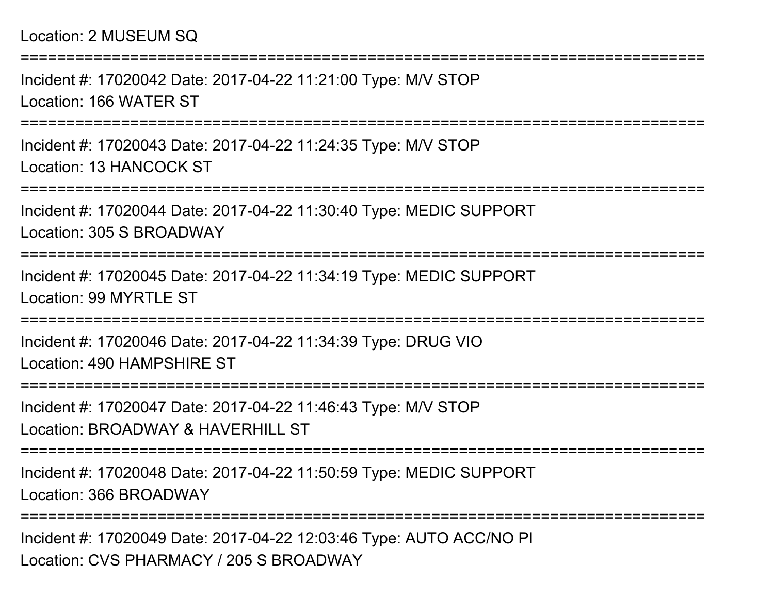### Location: 2 MUSEUM SQ

===========================================================================Incident #: 17020042 Date: 2017-04-22 11:21:00 Type: M/V STOPLocation: 166 WATER ST===========================================================================Incident #: 17020043 Date: 2017-04-22 11:24:35 Type: M/V STOPLocation: 13 HANCOCK ST===========================================================================Incident #: 17020044 Date: 2017-04-22 11:30:40 Type: MEDIC SUPPORTLocation: 305 S BROADWAY===========================================================================Incident #: 17020045 Date: 2017-04-22 11:34:19 Type: MEDIC SUPPORTLocation: 99 MYRTLE ST===========================================================================Incident #: 17020046 Date: 2017-04-22 11:34:39 Type: DRUG VIOLocation: 490 HAMPSHIRE ST===========================================================================Incident #: 17020047 Date: 2017-04-22 11:46:43 Type: M/V STOPLocation: BROADWAY & HAVERHILL ST===========================================================================Incident #: 17020048 Date: 2017-04-22 11:50:59 Type: MEDIC SUPPORTLocation: 366 BROADWAY===========================================================================

Incident #: 17020049 Date: 2017-04-22 12:03:46 Type: AUTO ACC/NO PILocation: CVS PHARMACY / 205 S BROADWAY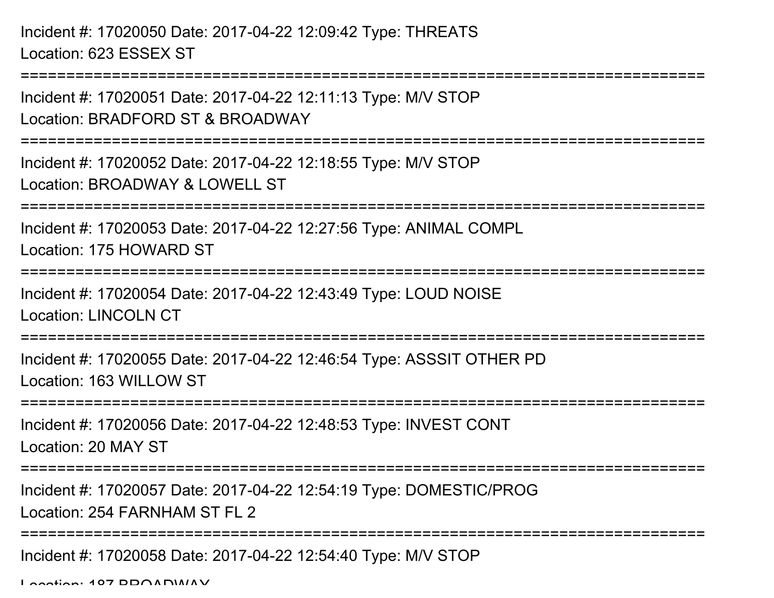```
===========================================================================Incident #: 17020051 Date: 2017-04-22 12:11:13 Type: M/V STOPLocation: BRADFORD ST & BROADWAY===========================================================================Incident #: 17020052 Date: 2017-04-22 12:18:55 Type: M/V STOPLocation: BROADWAY & LOWELL ST===========================================================================Incident #: 17020053 Date: 2017-04-22 12:27:56 Type: ANIMAL COMPLLocation: 175 HOWARD ST===========================================================================Incident #: 17020054 Date: 2017-04-22 12:43:49 Type: LOUD NOISELocation: LINCOLN CT===========================================================================Incident #: 17020055 Date: 2017-04-22 12:46:54 Type: ASSSIT OTHER PDLocation: 163 WILLOW ST===========================================================================Incident #: 17020056 Date: 2017-04-22 12:48:53 Type: INVEST CONTLocation: 20 MAY ST===========================================================================Incident #: 17020057 Date: 2017-04-22 12:54:19 Type: DOMESTIC/PROGLocation: 254 FARNHAM ST FL 2===========================================================================Incident #: 17020058 Date: 2017-04-22 12:54:40 Type: M/V STOP
```
Location: 107 BBOADWAY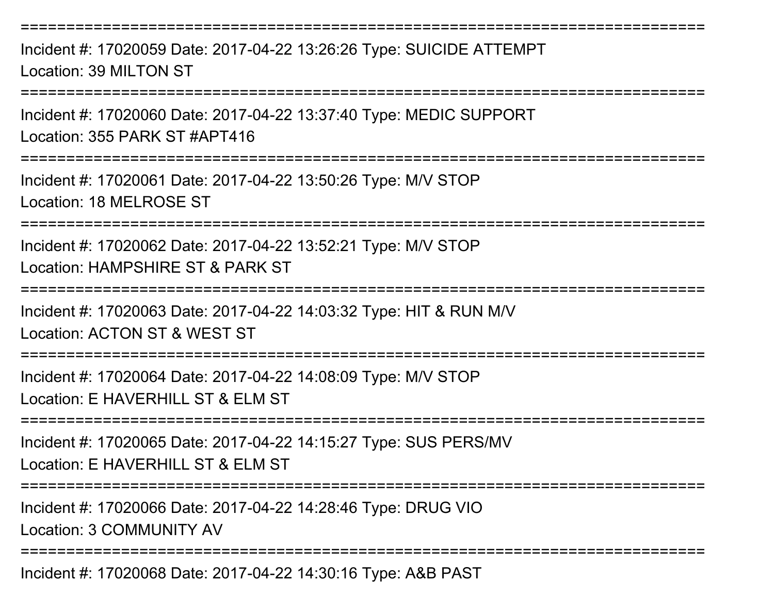Incident #: 17020059 Date: 2017-04-22 13:26:26 Type: SUICIDE ATTEMPTLocation: 39 MILTON ST

===========================================================================

Incident #: 17020060 Date: 2017-04-22 13:37:40 Type: MEDIC SUPPORTLocation: 355 PARK ST #APT416

===========================================================================

Incident #: 17020061 Date: 2017-04-22 13:50:26 Type: M/V STOPLocation: 18 MELROSE ST

===========================================================================

Incident #: 17020062 Date: 2017-04-22 13:52:21 Type: M/V STOPLocation: HAMPSHIRE ST & PARK ST

===========================================================================

Incident #: 17020063 Date: 2017-04-22 14:03:32 Type: HIT & RUN M/VLocation: ACTON ST & WEST ST

===========================================================================

Incident #: 17020064 Date: 2017-04-22 14:08:09 Type: M/V STOPLocation: E HAVERHILL ST & FLM ST

===========================================================================

Incident #: 17020065 Date: 2017-04-22 14:15:27 Type: SUS PERS/MVLocation: E HAVERHILL ST & FLM ST

===========================================================================

Incident #: 17020066 Date: 2017-04-22 14:28:46 Type: DRUG VIO

Location: 3 COMMUNITY AV

===========================================================================

Incident #: 17020068 Date: 2017-04-22 14:30:16 Type: A&B PAST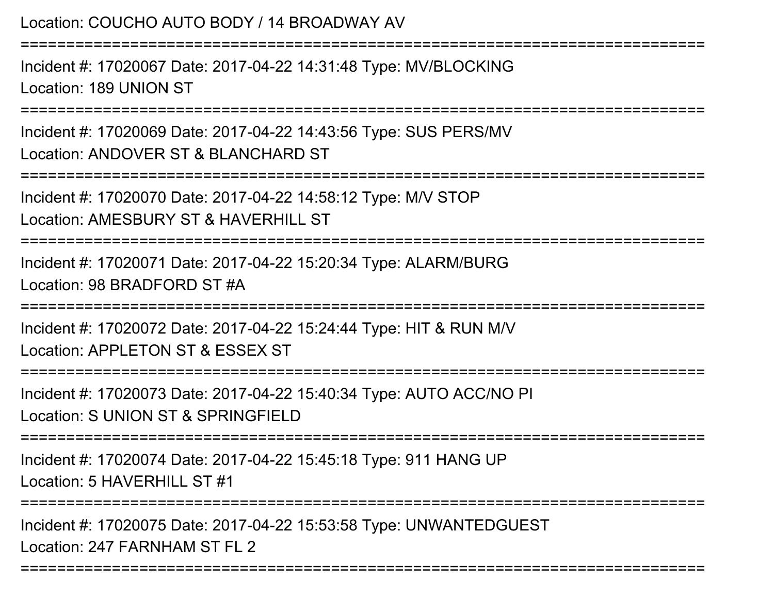Location: COUCHO AUTO BODY / 14 BROADWAY AV===========================================================================Incident #: 17020067 Date: 2017-04-22 14:31:48 Type: MV/BLOCKINGLocation: 189 UNION ST===========================================================================Incident #: 17020069 Date: 2017-04-22 14:43:56 Type: SUS PERS/MVLocation: ANDOVER ST & BLANCHARD ST===========================================================================Incident #: 17020070 Date: 2017-04-22 14:58:12 Type: M/V STOPLocation: AMESBURY ST & HAVERHILL ST===========================================================================Incident #: 17020071 Date: 2017-04-22 15:20:34 Type: ALARM/BURGLocation: 98 BRADFORD ST #A===========================================================================Incident #: 17020072 Date: 2017-04-22 15:24:44 Type: HIT & RUN M/VLocation: APPLETON ST & ESSEX ST ===========================================================================Incident #: 17020073 Date: 2017-04-22 15:40:34 Type: AUTO ACC/NO PILocation: S UNION ST & SPRINGFIELD===========================================================================Incident #: 17020074 Date: 2017-04-22 15:45:18 Type: 911 HANG UPLocation: 5 HAVERHILL ST #1 ===========================================================================Incident #: 17020075 Date: 2017-04-22 15:53:58 Type: UNWANTEDGUESTLocation: 247 FARNHAM ST FL 2

===========================================================================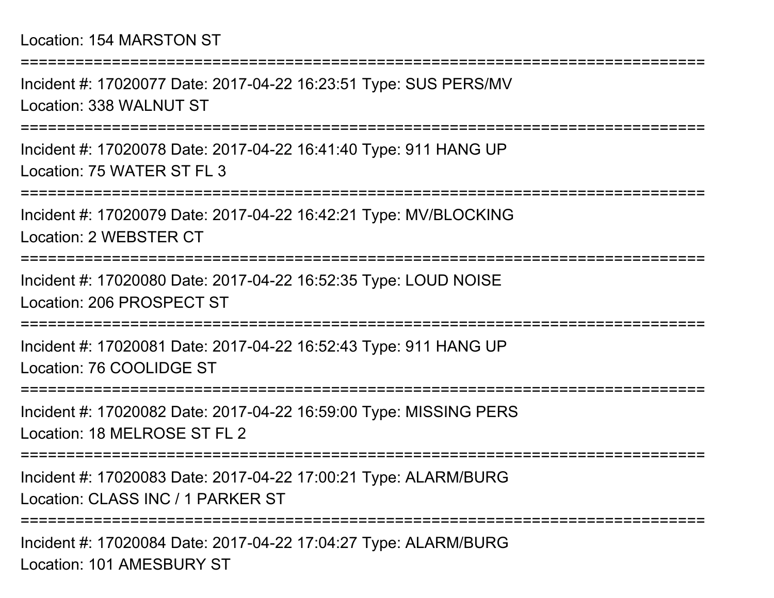#### Location: 154 MARSTON ST

Incident #: 17020077 Date: 2017-04-22 16:23:51 Type: SUS PERS/MVLocation: 338 WALNUT ST

===========================================================================

===========================================================================

Incident #: 17020078 Date: 2017-04-22 16:41:40 Type: 911 HANG UPLocation: 75 WATER ST FL 3

===========================================================================

Incident #: 17020079 Date: 2017-04-22 16:42:21 Type: MV/BLOCKINGLocation: 2 WEBSTER CT

===========================================================================

Incident #: 17020080 Date: 2017-04-22 16:52:35 Type: LOUD NOISELocation: 206 PROSPECT ST

===========================================================================

Incident #: 17020081 Date: 2017-04-22 16:52:43 Type: 911 HANG UPLocation: 76 COOLIDGE ST

===========================================================================

Incident #: 17020082 Date: 2017-04-22 16:59:00 Type: MISSING PERSLocation: 18 MELROSE ST FL 2

===========================================================================

Incident #: 17020083 Date: 2017-04-22 17:00:21 Type: ALARM/BURGLocation: CLASS INC / 1 PARKER ST

===========================================================================

Incident #: 17020084 Date: 2017-04-22 17:04:27 Type: ALARM/BURGLocation: 101 AMESBURY ST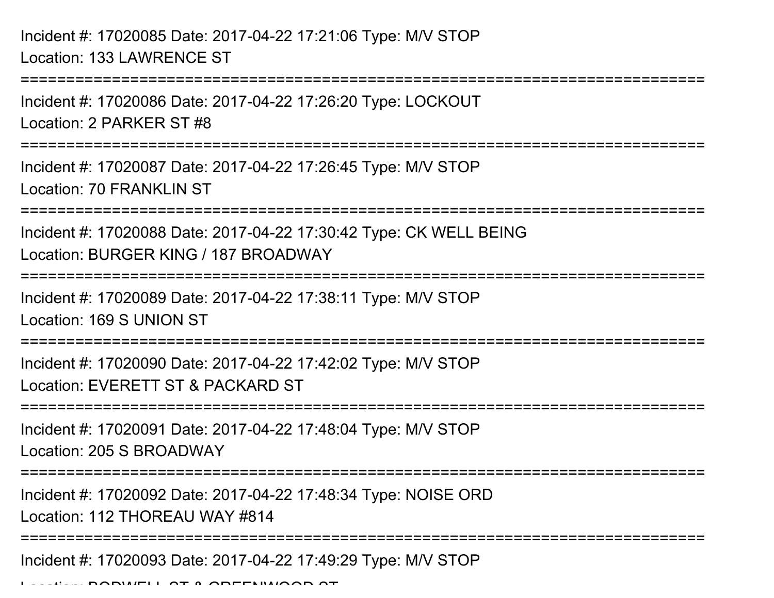Incident #: 17020085 Date: 2017-04-22 17:21:06 Type: M/V STOPLocation: 133 LAWRENCE ST

===========================================================================Incident #: 17020086 Date: 2017-04-22 17:26:20 Type: LOCKOUTLocation: 2 PARKER ST #8===========================================================================Incident #: 17020087 Date: 2017-04-22 17:26:45 Type: M/V STOPLocation: 70 FRANKLIN ST ===========================================================================Incident #: 17020088 Date: 2017-04-22 17:30:42 Type: CK WELL BEINGLocation: BURGER KING / 187 BROADWAY===========================================================================Incident #: 17020089 Date: 2017-04-22 17:38:11 Type: M/V STOPLocation: 169 S UNION ST============================= Incident #: 17020090 Date: 2017-04-22 17:42:02 Type: M/V STOPLocation: EVERETT ST & PACKARD ST===========================================================================Incident #: 17020091 Date: 2017-04-22 17:48:04 Type: M/V STOPLocation: 205 S BROADWAY

Incident #: 17020092 Date: 2017-04-22 17:48:34 Type: NOISE ORD

Location: 112 THOREAU WAY #814

===================================

===========================================================================

Incident #: 17020093 Date: 2017-04-22 17:49:29 Type: M/V STOP

Location: BODWELL ST & GREENWOOD ST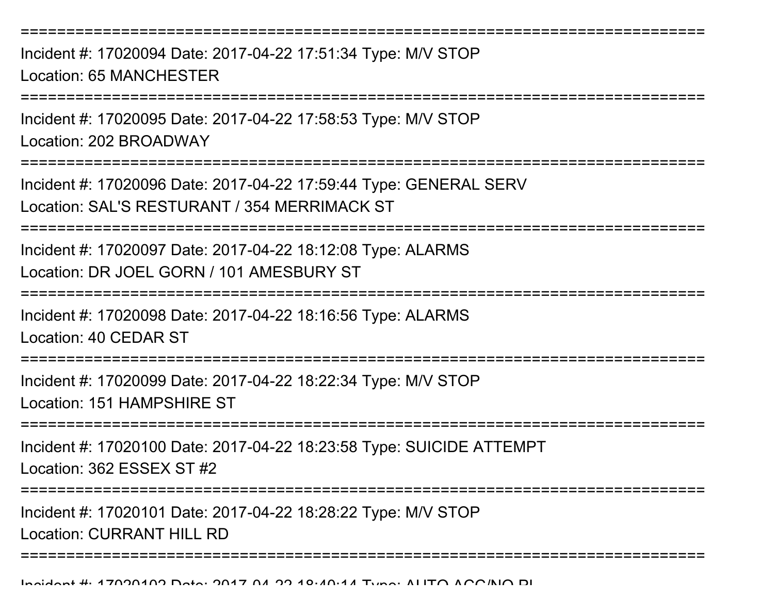===========================================================================Incident #: 17020094 Date: 2017-04-22 17:51:34 Type: M/V STOPLocation: 65 MANCHESTER ===========================================================================Incident #: 17020095 Date: 2017-04-22 17:58:53 Type: M/V STOPLocation: 202 BROADWAY===========================================================================Incident #: 17020096 Date: 2017-04-22 17:59:44 Type: GENERAL SERVLocation: SAL'S RESTURANT / 354 MERRIMACK ST===========================================================================Incident #: 17020097 Date: 2017-04-22 18:12:08 Type: ALARMSLocation: DR JOEL GORN / 101 AMESBURY ST===========================================================================Incident #: 17020098 Date: 2017-04-22 18:16:56 Type: ALARMSLocation: 40 CEDAR ST===========================================================================Incident #: 17020099 Date: 2017-04-22 18:22:34 Type: M/V STOPLocation: 151 HAMPSHIRE ST===========================================================================Incident #: 17020100 Date: 2017-04-22 18:23:58 Type: SUICIDE ATTEMPTLocation: 362 ESSEX ST #2===========================================================================Incident #: 17020101 Date: 2017-04-22 18:28:22 Type: M/V STOPLocation: CURRANT HILL RD

===========================================================================

Incident #: 17020102 Date: 2017 <sup>04</sup> 22 18:40:14 Type: AUTO ACC/NO PI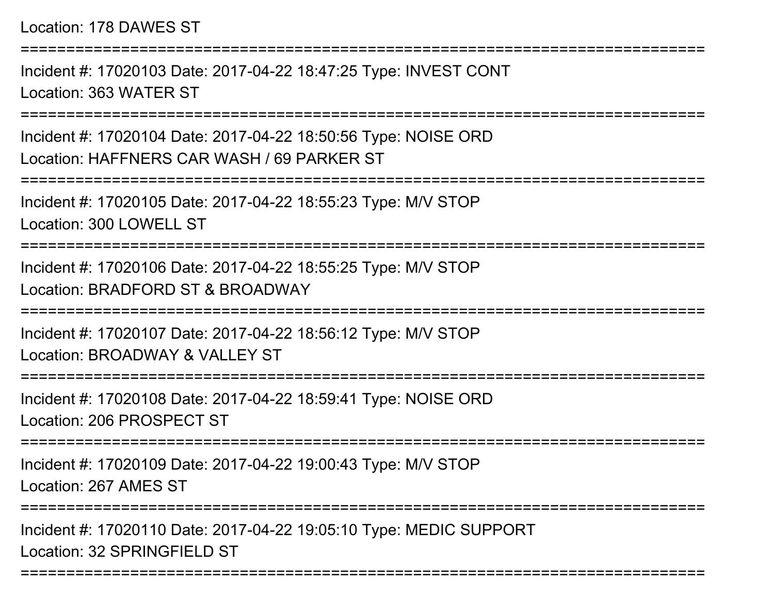Incident #: 17020103 Date: 2017-04-22 18:47:25 Type: INVEST CONTLocation: 363 WATER ST

===========================================================================

Incident #: 17020104 Date: 2017-04-22 18:50:56 Type: NOISE ORDLocation: HAFFNERS CAR WASH / 69 PARKER ST

===========================================================================

Incident #: 17020105 Date: 2017-04-22 18:55:23 Type: M/V STOPLocation: 300 LOWELL ST

===========================================================================

Incident #: 17020106 Date: 2017-04-22 18:55:25 Type: M/V STOPLocation: BRADFORD ST & BROADWAY

===========================================================================

Incident #: 17020107 Date: 2017-04-22 18:56:12 Type: M/V STOPLocation: BROADWAY & VALLEY ST

===========================================================================

Incident #: 17020108 Date: 2017-04-22 18:59:41 Type: NOISE ORDLocation: 206 PROSPECT ST

===========================================================================

Incident #: 17020109 Date: 2017-04-22 19:00:43 Type: M/V STOPLocation: 267 AMES ST

===========================================================================

===========================================================================

Incident #: 17020110 Date: 2017-04-22 19:05:10 Type: MEDIC SUPPORTLocation: 32 SPRINGFIELD ST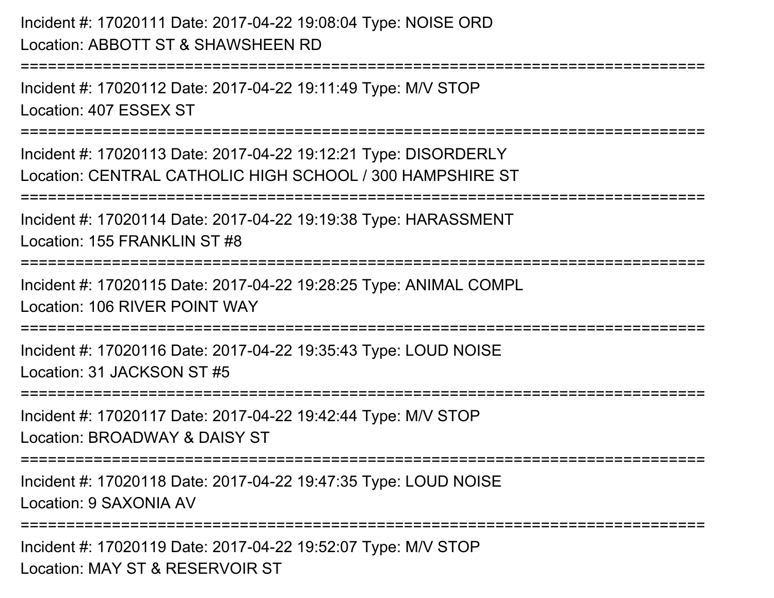# Incident #: 17020111 Date: 2017-04-22 19:08:04 Type: NOISE ORDLocation: ABBOTT ST & SHAWSHEEN RD

===========================================================================

Incident #: 17020112 Date: 2017-04-22 19:11:49 Type: M/V STOPLocation: 407 ESSEX ST

===========================================================================

Incident #: 17020113 Date: 2017-04-22 19:12:21 Type: DISORDERLYLocation: CENTRAL CATHOLIC HIGH SCHOOL / 300 HAMPSHIRE ST

===========================================================================

Incident #: 17020114 Date: 2017-04-22 19:19:38 Type: HARASSMENT

Location: 155 FRANKLIN ST #8

===========================================================================

Incident #: 17020115 Date: 2017-04-22 19:28:25 Type: ANIMAL COMPLLocation: 106 RIVER POINT WAY

===========================================================================

Incident #: 17020116 Date: 2017-04-22 19:35:43 Type: LOUD NOISELocation: 31 JACKSON ST #5

===========================================================================

Incident #: 17020117 Date: 2017-04-22 19:42:44 Type: M/V STOPLocation: BROADWAY & DAISY ST

===========================================================================

Incident #: 17020118 Date: 2017-04-22 19:47:35 Type: LOUD NOISELocation: 9 SAXONIA AV

===========================================================================

Incident #: 17020119 Date: 2017-04-22 19:52:07 Type: M/V STOPLocation: MAY ST & RESERVOIR ST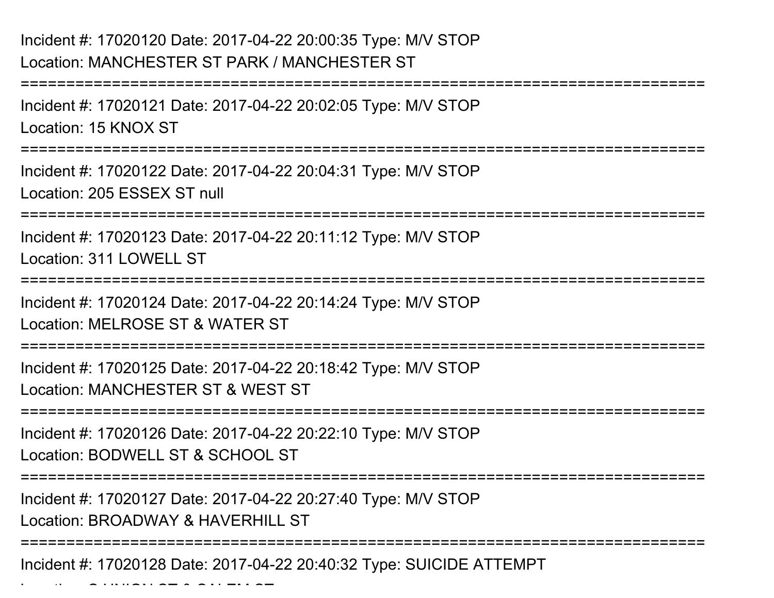### Incident #: 17020120 Date: 2017-04-22 20:00:35 Type: M/V STOPLocation: MANCHESTER ST PARK / MANCHESTER ST

 $\mathcal{L}$  and  $\mathcal{L}$  is under station stations of  $\mathcal{L}$ 

===========================================================================Incident #: 17020121 Date: 2017-04-22 20:02:05 Type: M/V STOPLocation: 15 KNOX ST===========================================================================Incident #: 17020122 Date: 2017-04-22 20:04:31 Type: M/V STOPLocation: 205 ESSEX ST null===========================================================================Incident #: 17020123 Date: 2017-04-22 20:11:12 Type: M/V STOPLocation: 311 LOWELL ST ===========================================================================Incident #: 17020124 Date: 2017-04-22 20:14:24 Type: M/V STOPLocation: MELROSE ST & WATER ST===========================================================================Incident #: 17020125 Date: 2017-04-22 20:18:42 Type: M/V STOPLocation: MANCHESTER ST & WEST ST===========================================================================Incident #: 17020126 Date: 2017-04-22 20:22:10 Type: M/V STOPLocation: BODWELL ST & SCHOOL ST===========================================================================Incident #: 17020127 Date: 2017-04-22 20:27:40 Type: M/V STOPLocation: BROADWAY & HAVERHILL ST===========================================================================Incident #: 17020128 Date: 2017-04-22 20:40:32 Type: SUICIDE ATTEMPT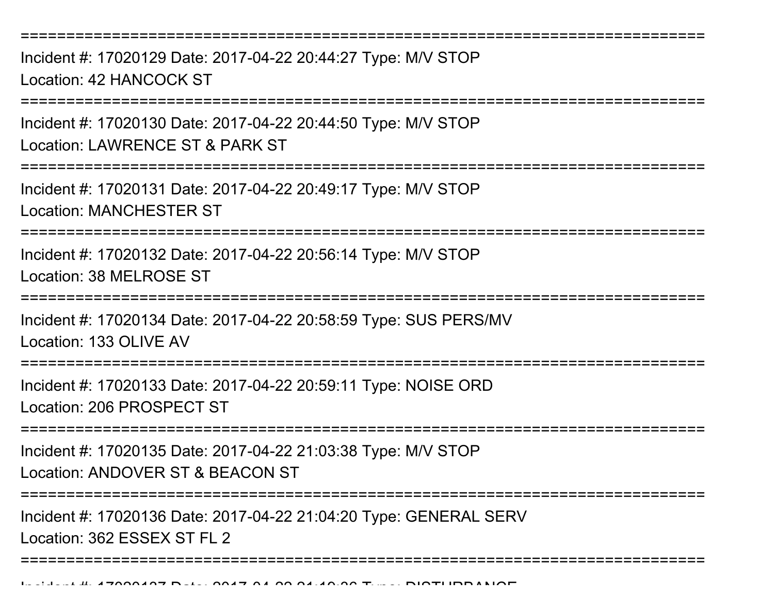Incident #: 17020129 Date: 2017-04-22 20:44:27 Type: M/V STOPLocation: 42 HANCOCK ST

===========================================================================

Incident #: 17020130 Date: 2017-04-22 20:44:50 Type: M/V STOPLocation: LAWRENCE ST & PARK ST

===========================================================================

Incident #: 17020131 Date: 2017-04-22 20:49:17 Type: M/V STOPLocation: MANCHESTER ST

===========================================================================

Incident #: 17020132 Date: 2017-04-22 20:56:14 Type: M/V STOPLocation: 38 MELROSE ST

===========================================================================

Incident #: 17020134 Date: 2017-04-22 20:58:59 Type: SUS PERS/MVLocation: 133 OLIVE AV

===========================================================================

Incident #: 17020133 Date: 2017-04-22 20:59:11 Type: NOISE ORDLocation: 206 PROSPECT ST

===========================================================================

Incident #: 17020135 Date: 2017-04-22 21:03:38 Type: M/V STOPLocation: ANDOVER ST & BEACON ST

===========================================================================

===========================================================================

Incident #: 17020136 Date: 2017-04-22 21:04:20 Type: GENERAL SERVLocation: 362 ESSEX ST FL 2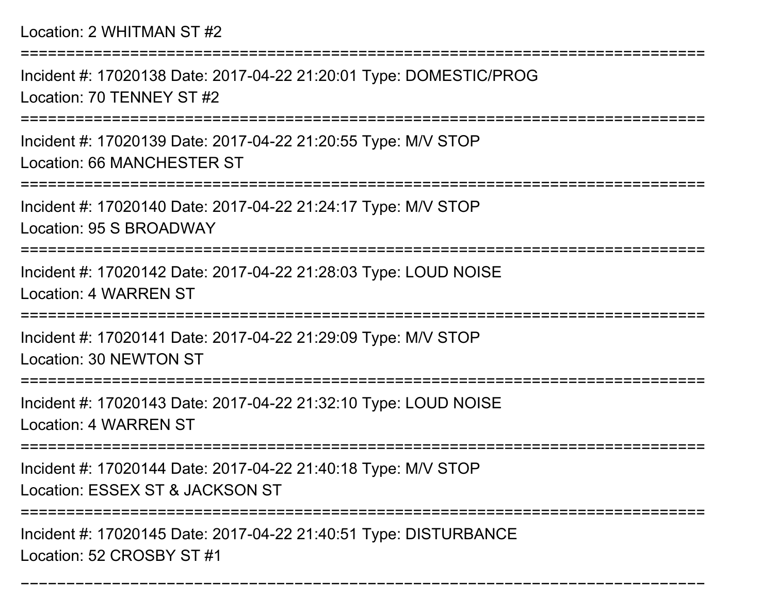Incident #: 17020138 Date: 2017-04-22 21:20:01 Type: DOMESTIC/PROGLocation: 70 TENNEY ST #2

===========================================================================

Incident #: 17020139 Date: 2017-04-22 21:20:55 Type: M/V STOPLocation: 66 MANCHESTER ST

===========================================================================

Incident #: 17020140 Date: 2017-04-22 21:24:17 Type: M/V STOP

Location: 95 S BROADWAY

===========================================================================

Incident #: 17020142 Date: 2017-04-22 21:28:03 Type: LOUD NOISELocation: 4 WARREN ST

===========================================================================

Incident #: 17020141 Date: 2017-04-22 21:29:09 Type: M/V STOPLocation: 30 NEWTON ST

=============================

Incident #: 17020143 Date: 2017-04-22 21:32:10 Type: LOUD NOISE

Location: 4 WARREN ST

===========================================================================

Incident #: 17020144 Date: 2017-04-22 21:40:18 Type: M/V STOP

Location: ESSEX ST & JACKSON ST

======================

===========================================================================

Incident #: 17020145 Date: 2017-04-22 21:40:51 Type: DISTURBANCELocation: 52 CROSBY ST #1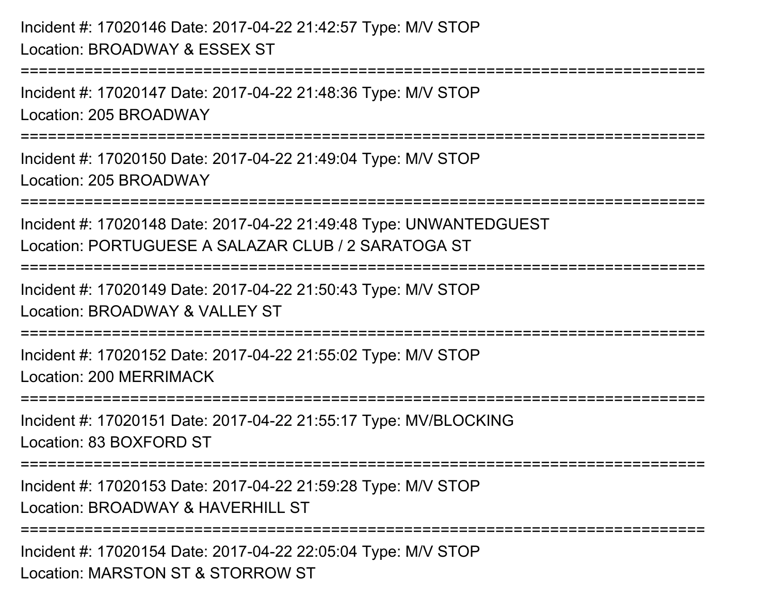Incident #: 17020146 Date: 2017-04-22 21:42:57 Type: M/V STOPLocation: BROADWAY & ESSEX ST===========================================================================Incident #: 17020147 Date: 2017-04-22 21:48:36 Type: M/V STOPLocation: 205 BROADWAY===========================================================================Incident #: 17020150 Date: 2017-04-22 21:49:04 Type: M/V STOPLocation: 205 BROADWAY===========================================================================Incident #: 17020148 Date: 2017-04-22 21:49:48 Type: UNWANTEDGUESTLocation: PORTUGUESE A SALAZAR CLUB / 2 SARATOGA ST===========================================================================Incident #: 17020149 Date: 2017-04-22 21:50:43 Type: M/V STOPLocation: BROADWAY & VALLEY ST===========================================================================Incident #: 17020152 Date: 2017-04-22 21:55:02 Type: M/V STOPLocation: 200 MERRIMACK===========================================================================Incident #: 17020151 Date: 2017-04-22 21:55:17 Type: MV/BLOCKINGLocation: 83 BOXFORD ST===========================================================================Incident #: 17020153 Date: 2017-04-22 21:59:28 Type: M/V STOPLocation: BROADWAY & HAVERHILL ST===========================================================================Incident #: 17020154 Date: 2017-04-22 22:05:04 Type: M/V STOPLocation: MARSTON ST & STORROW ST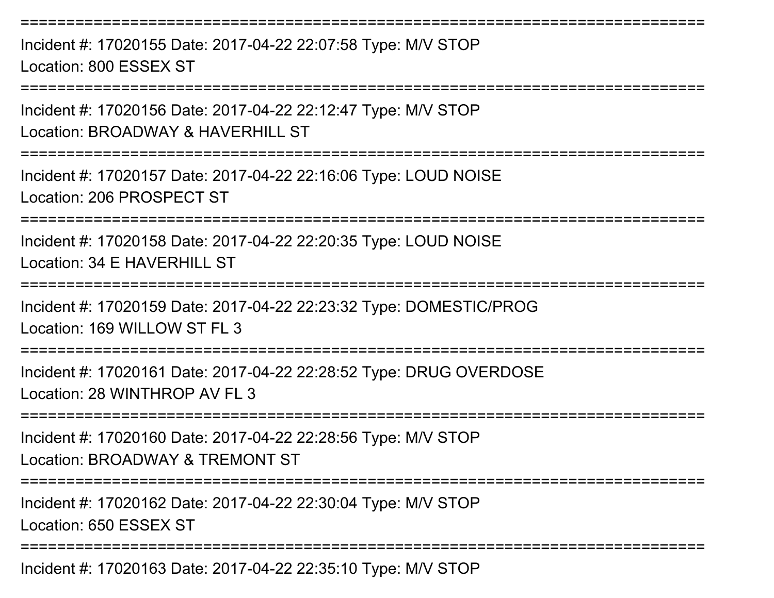===========================================================================Incident #: 17020155 Date: 2017-04-22 22:07:58 Type: M/V STOPLocation: 800 ESSEX ST===========================================================================Incident #: 17020156 Date: 2017-04-22 22:12:47 Type: M/V STOP

Location: BROADWAY & HAVERHILL ST

===========================================================================

Incident #: 17020157 Date: 2017-04-22 22:16:06 Type: LOUD NOISELocation: 206 PROSPECT ST

===========================================================================

Incident #: 17020158 Date: 2017-04-22 22:20:35 Type: LOUD NOISELocation: 34 E HAVERHILL ST

===========================================================================

Incident #: 17020159 Date: 2017-04-22 22:23:32 Type: DOMESTIC/PROGLocation: 169 WILLOW ST FL 3

===========================================================================

Incident #: 17020161 Date: 2017-04-22 22:28:52 Type: DRUG OVERDOSELocation: 28 WINTHROP AV FL 3

===========================================================================

Incident #: 17020160 Date: 2017-04-22 22:28:56 Type: M/V STOPLocation: BROADWAY & TREMONT ST

===========================================================================

Incident #: 17020162 Date: 2017-04-22 22:30:04 Type: M/V STOPLocation: 650 ESSEX ST

===========================================================================

Incident #: 17020163 Date: 2017-04-22 22:35:10 Type: M/V STOP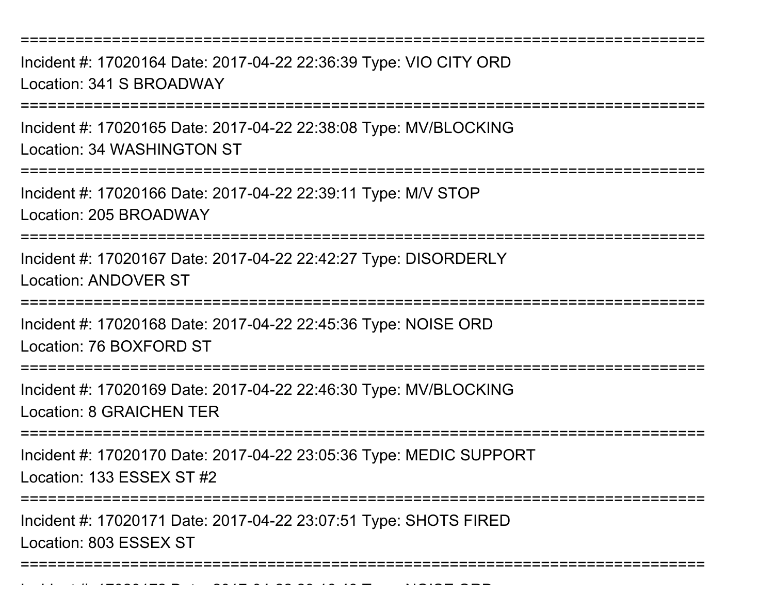Incident #: 17020164 Date: 2017-04-22 22:36:39 Type: VIO CITY ORDLocation: 341 S BROADWAY

===========================================================================

Incident #: 17020165 Date: 2017-04-22 22:38:08 Type: MV/BLOCKINGLocation: 34 WASHINGTON ST

===========================================================================

Incident #: 17020166 Date: 2017-04-22 22:39:11 Type: M/V STOP

Location: 205 BROADWAY

===========================================================================

Incident #: 17020167 Date: 2017-04-22 22:42:27 Type: DISORDERLYLocation: ANDOVER ST

===========================================================================

Incident #: 17020168 Date: 2017-04-22 22:45:36 Type: NOISE ORDLocation: 76 BOXFORD ST

===========================================================================

Incident #: 17020169 Date: 2017-04-22 22:46:30 Type: MV/BLOCKINGLocation: 8 GRAICHEN TER

========================

Incident #: 17020170 Date: 2017-04-22 23:05:36 Type: MEDIC SUPPORT

Location: 133 ESSEX ST #2

Incident #: 17020172 Date: 2017

===========================

Incident #: 17020171 Date: 2017-04-22 23:07:51 Type: SHOTS FIREDLocation: 803 ESSEX ST

===========================================================================

<sup>04</sup> 22 23:16:48 Type: NOISE ORD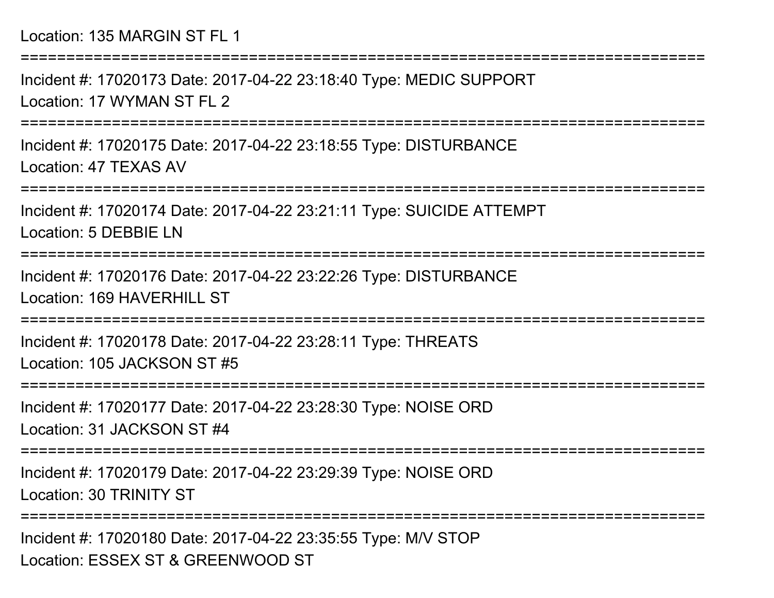|  |  | Location: 135 MARGIN ST FL 1 |  |  |
|--|--|------------------------------|--|--|
|--|--|------------------------------|--|--|

===========================================================================Incident #: 17020173 Date: 2017-04-22 23:18:40 Type: MEDIC SUPPORTLocation: 17 WYMAN ST FL 2===========================================================================Incident #: 17020175 Date: 2017-04-22 23:18:55 Type: DISTURBANCELocation: 47 TEXAS AV ===========================================================================Incident #: 17020174 Date: 2017-04-22 23:21:11 Type: SUICIDE ATTEMPTLocation: 5 DEBBIE LN ===========================================================================Incident #: 17020176 Date: 2017-04-22 23:22:26 Type: DISTURBANCELocation: 169 HAVERHILL ST===========================================================================Incident #: 17020178 Date: 2017-04-22 23:28:11 Type: THREATSLocation: 105 JACKSON ST #5===========================================================================Incident #: 17020177 Date: 2017-04-22 23:28:30 Type: NOISE ORDLocation: 31 JACKSON ST #4===========================================================================Incident #: 17020179 Date: 2017-04-22 23:29:39 Type: NOISE ORDLocation: 30 TRINITY ST===========================================================================Incident #: 17020180 Date: 2017-04-22 23:35:55 Type: M/V STOP

Location: ESSEX ST & GREENWOOD ST